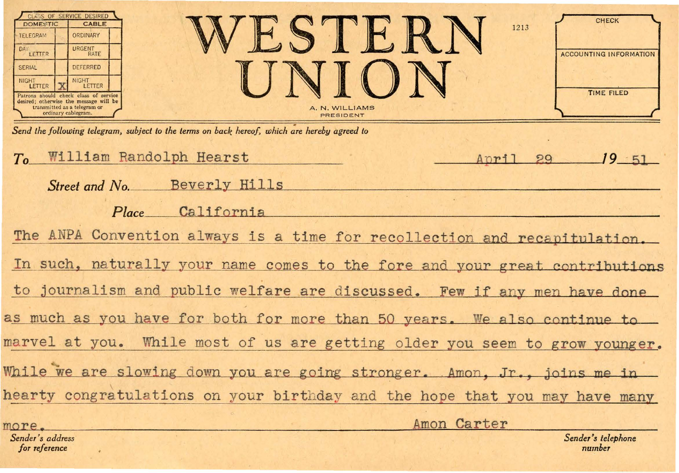| TELEGRAM<br><b>DAY</b><br>LETTER<br><b>SERIAL</b><br><b>NIGHT</b><br>LETTER                                                                      | CLASS OF SERVICE DESIRED<br><b>DOMESTIC</b><br><b>CABLE</b><br>ORDINARY<br>URGENT<br>RATE<br><b>DEFERRED</b><br><b>NIGHT</b><br>LETTER<br>Patrons should check class of service<br>desired; otherwise the message will be<br>transmitted as a telegram or<br>ordinary cablegram. | A. N. WILLIAMS<br>PRESIDENT           | <b>CHECK</b><br>1213<br><b>ACCOUNTING INFORMATION</b><br><b>TIME FILED</b> |  |  |  |
|--------------------------------------------------------------------------------------------------------------------------------------------------|----------------------------------------------------------------------------------------------------------------------------------------------------------------------------------------------------------------------------------------------------------------------------------|---------------------------------------|----------------------------------------------------------------------------|--|--|--|
| Send the following telegram, subject to the terms on back hereof, which are hereby agreed to<br>William Randolph Hearst<br>To<br>O<br>Anri<br>99 |                                                                                                                                                                                                                                                                                  |                                       |                                                                            |  |  |  |
|                                                                                                                                                  | Street and No.<br><b>A DE MONTE DE</b>                                                                                                                                                                                                                                           | Beverly Hills<br>California<br>Place. |                                                                            |  |  |  |

The ANPA Convention always is a time for recollection and recapitulation. In such, naturally your name comes to the fore and your great contributions to journalism and public welfare are discussed. Few if any men have done as much as you have for both for more than 50 years. We also continue to marvel at you. While most of us are getting older you seem to grow younger. While we are slowing down you are going stronger. Amon, Jr., joins me in hearty congratulations on your birthday and the hope that you may have many Amon Carter more.

Sender's address for reference

Sender's telephone number